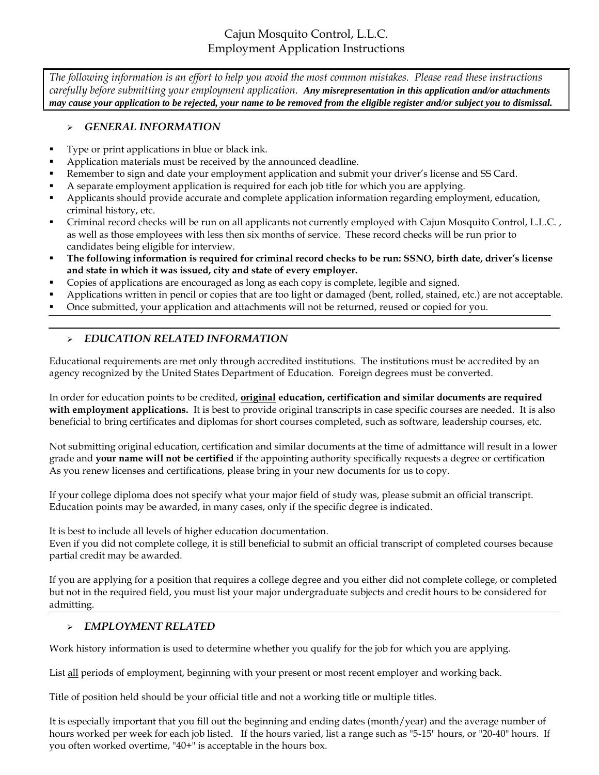# Cajun Mosquito Control, L.L.C. Employment Application Instructions

*The following information is an effort to help you avoid the most common mistakes. Please read these instructions carefully before submitting your employment application. Any misrepresentation in this application and/or attachments may cause your application to be rejected, your name to be removed from the eligible register and/or subject you to dismissal.*

#### *GENERAL INFORMATION*

- Type or print applications in blue or black ink.
- Application materials must be received by the announced deadline.
- Remember to sign and date your employment application and submit your driver's license and SS Card.
- A separate employment application is required for each job title for which you are applying.
- Applicants should provide accurate and complete application information regarding employment, education, criminal history, etc.
- Criminal record checks will be run on all applicants not currently employed with Cajun Mosquito Control, L.L.C. , as well as those employees with less then six months of service. These record checks will be run prior to candidates being eligible for interview.
- **The following information is required for criminal record checks to be run: SSNO, birth date, driver's license and state in which it was issued, city and state of every employer.**
- Copies of applications are encouraged as long as each copy is complete, legible and signed.
- Applications written in pencil or copies that are too light or damaged (bent, rolled, stained, etc.) are not acceptable.
- Once submitted, your application and attachments will not be returned, reused or copied for you.

### *EDUCATION RELATED INFORMATION*

Educational requirements are met only through accredited institutions. The institutions must be accredited by an agency recognized by the United States Department of Education. Foreign degrees must be converted.

In order for education points to be credited, **original education, certification and similar documents are required with employment applications.** It is best to provide original transcripts in case specific courses are needed. It is also beneficial to bring certificates and diplomas for short courses completed, such as software, leadership courses, etc.

Not submitting original education, certification and similar documents at the time of admittance will result in a lower grade and **your name will not be certified** if the appointing authority specifically requests a degree or certification As you renew licenses and certifications, please bring in your new documents for us to copy.

If your college diploma does not specify what your major field of study was, please submit an official transcript. Education points may be awarded, in many cases, only if the specific degree is indicated.

It is best to include all levels of higher education documentation.

Even if you did not complete college, it is still beneficial to submit an official transcript of completed courses because partial credit may be awarded.

If you are applying for a position that requires a college degree and you either did not complete college, or completed but not in the required field, you must list your major undergraduate subjects and credit hours to be considered for admitting.

### *EMPLOYMENT RELATED*

Work history information is used to determine whether you qualify for the job for which you are applying.

List all periods of employment, beginning with your present or most recent employer and working back.

Title of position held should be your official title and not a working title or multiple titles.

It is especially important that you fill out the beginning and ending dates (month/year) and the average number of hours worked per week for each job listed. If the hours varied, list a range such as "5-15" hours, or "20-40" hours. If you often worked overtime, "40+" is acceptable in the hours box.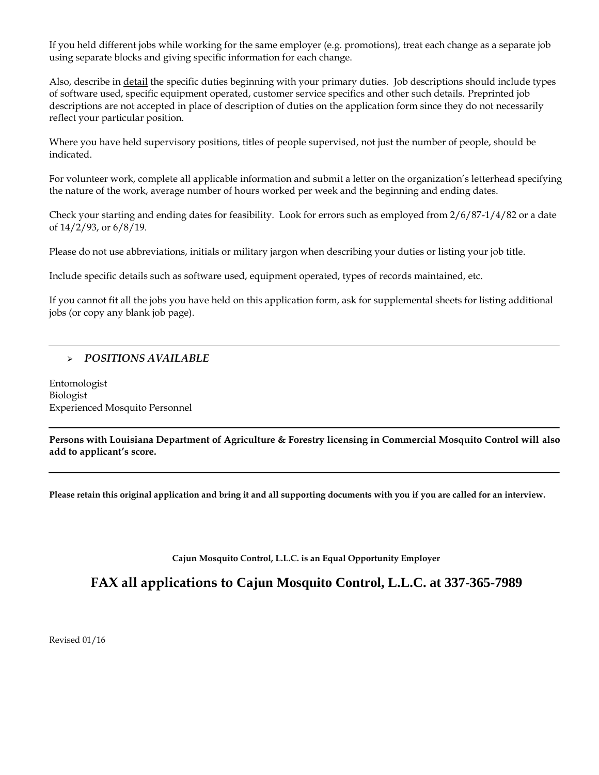If you held different jobs while working for the same employer (e.g. promotions), treat each change as a separate job using separate blocks and giving specific information for each change.

Also, describe in detail the specific duties beginning with your primary duties. Job descriptions should include types of software used, specific equipment operated, customer service specifics and other such details. Preprinted job descriptions are not accepted in place of description of duties on the application form since they do not necessarily reflect your particular position.

Where you have held supervisory positions, titles of people supervised, not just the number of people, should be indicated.

For volunteer work, complete all applicable information and submit a letter on the organization's letterhead specifying the nature of the work, average number of hours worked per week and the beginning and ending dates.

Check your starting and ending dates for feasibility. Look for errors such as employed from 2/6/87-1/4/82 or a date of 14/2/93, or 6/8/19.

Please do not use abbreviations, initials or military jargon when describing your duties or listing your job title.

Include specific details such as software used, equipment operated, types of records maintained, etc.

If you cannot fit all the jobs you have held on this application form, ask for supplemental sheets for listing additional jobs (or copy any blank job page).

### *POSITIONS AVAILABLE*

Entomologist Biologist Experienced Mosquito Personnel

**Persons with Louisiana Department of Agriculture & Forestry licensing in Commercial Mosquito Control will also add to applicant's score.**

**Please retain this original application and bring it and all supporting documents with you if you are called for an interview.**

**Cajun Mosquito Control, L.L.C. is an Equal Opportunity Employer**

**FAX all applications to Cajun Mosquito Control, L.L.C. at 337-365-7989**

Revised 01/16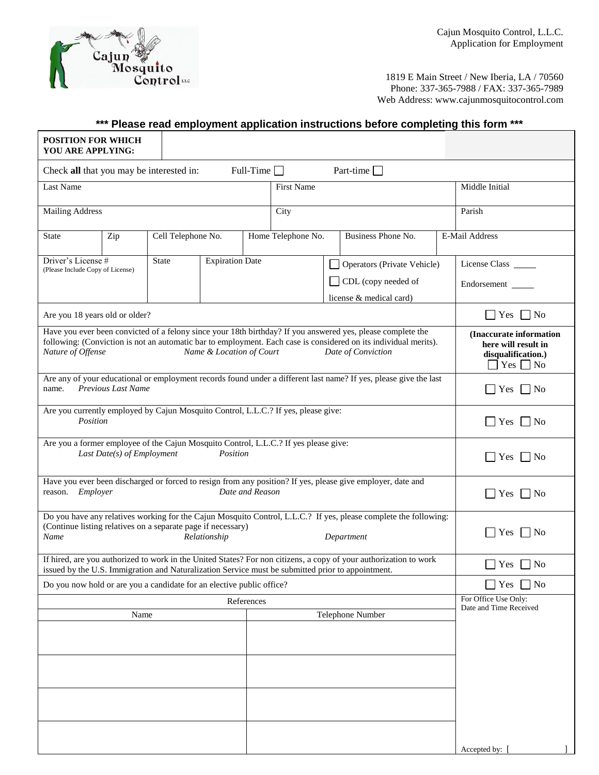

1819 E Main Street / New Iberia, LA / 70560 Phone: 337-365-7988 / FAX: 337-365-7989 Web Address: www.cajunmosquitocontrol.com

## **\*\*\* Please read employment application instructions before completing this form \*\*\***

| <b>POSITION FOR WHICH</b><br>YOU ARE APPLYING:                                                                                                                                                                                                                                                         |                                                                                                           |  |                    |  |  |                     |              |                                                |                                                                                                        |                      |  |
|--------------------------------------------------------------------------------------------------------------------------------------------------------------------------------------------------------------------------------------------------------------------------------------------------------|-----------------------------------------------------------------------------------------------------------|--|--------------------|--|--|---------------------|--------------|------------------------------------------------|--------------------------------------------------------------------------------------------------------|----------------------|--|
| Part-time $\Box$<br>Full-Time $\Box$<br>Check all that you may be interested in:                                                                                                                                                                                                                       |                                                                                                           |  |                    |  |  |                     |              |                                                |                                                                                                        |                      |  |
| Last Name                                                                                                                                                                                                                                                                                              |                                                                                                           |  |                    |  |  | <b>First Name</b>   |              |                                                |                                                                                                        | Middle Initial       |  |
| <b>Mailing Address</b>                                                                                                                                                                                                                                                                                 |                                                                                                           |  |                    |  |  | City                |              |                                                |                                                                                                        | Parish               |  |
| <b>State</b>                                                                                                                                                                                                                                                                                           | Zip                                                                                                       |  | Cell Telephone No. |  |  | Home Telephone No.  |              | Business Phone No.                             |                                                                                                        | E-Mail Address       |  |
| Driver's License #                                                                                                                                                                                                                                                                                     | <b>State</b><br><b>Expiration Date</b><br>Operators (Private Vehicle)<br>(Please Include Copy of License) |  |                    |  |  | License Class       |              |                                                |                                                                                                        |                      |  |
|                                                                                                                                                                                                                                                                                                        |                                                                                                           |  |                    |  |  | CDL (copy needed of |              |                                                |                                                                                                        | Endorsement          |  |
|                                                                                                                                                                                                                                                                                                        |                                                                                                           |  |                    |  |  |                     |              | license & medical card)                        |                                                                                                        |                      |  |
| Are you 18 years old or older?                                                                                                                                                                                                                                                                         |                                                                                                           |  |                    |  |  |                     |              |                                                |                                                                                                        | $\Box$ Yes $\Box$ No |  |
| Have you ever been convicted of a felony since your 18th birthday? If you answered yes, please complete the<br>following: (Conviction is not an automatic bar to employment. Each case is considered on its individual merits).<br>Nature of Offense<br>Name & Location of Court<br>Date of Conviction |                                                                                                           |  |                    |  |  |                     |              |                                                | (Inaccurate information<br>here will result in<br>disqualification.)<br>$\text{Yes} \square \text{No}$ |                      |  |
| Are any of your educational or employment records found under a different last name? If yes, please give the last<br>Previous Last Name<br>name.                                                                                                                                                       |                                                                                                           |  |                    |  |  |                     |              |                                                | $\Box$ Yes $\Box$ No                                                                                   |                      |  |
| Are you currently employed by Cajun Mosquito Control, L.L.C.? If yes, please give:<br>Position                                                                                                                                                                                                         |                                                                                                           |  |                    |  |  |                     |              |                                                | $\Box$ Yes $\Box$ No                                                                                   |                      |  |
| Are you a former employee of the Cajun Mosquito Control, L.L.C.? If yes please give:<br>Position<br>Last Date(s) of Employment                                                                                                                                                                         |                                                                                                           |  |                    |  |  |                     |              |                                                | $\Box$ Yes $\Box$ No                                                                                   |                      |  |
| Have you ever been discharged or forced to resign from any position? If yes, please give employer, date and<br>reason. Employer<br>Date and Reason                                                                                                                                                     |                                                                                                           |  |                    |  |  |                     |              | $\Box$ Yes $\Box$ No                           |                                                                                                        |                      |  |
| Do you have any relatives working for the Cajun Mosquito Control, L.L.C.? If yes, please complete the following:<br>(Continue listing relatives on a separate page if necessary)<br>Name<br>Relationship<br>Department                                                                                 |                                                                                                           |  |                    |  |  |                     |              | $\Box$ Yes $\Box$ No                           |                                                                                                        |                      |  |
| If hired, are you authorized to work in the United States? For non citizens, a copy of your authorization to work<br>issued by the U.S. Immigration and Naturalization Service must be submitted prior to appointment.                                                                                 |                                                                                                           |  |                    |  |  |                     |              |                                                | $\Box$ Yes $\Box$ No                                                                                   |                      |  |
| Do you now hold or are you a candidate for an elective public office?                                                                                                                                                                                                                                  |                                                                                                           |  |                    |  |  |                     |              |                                                | $\bigcap$ Yes $\bigcap$ No                                                                             |                      |  |
| References                                                                                                                                                                                                                                                                                             |                                                                                                           |  |                    |  |  |                     |              | For Office Use Only:<br>Date and Time Received |                                                                                                        |                      |  |
| Telephone Number<br>Name                                                                                                                                                                                                                                                                               |                                                                                                           |  |                    |  |  |                     |              |                                                |                                                                                                        |                      |  |
|                                                                                                                                                                                                                                                                                                        |                                                                                                           |  |                    |  |  |                     |              |                                                |                                                                                                        |                      |  |
|                                                                                                                                                                                                                                                                                                        |                                                                                                           |  |                    |  |  |                     |              |                                                |                                                                                                        |                      |  |
|                                                                                                                                                                                                                                                                                                        |                                                                                                           |  |                    |  |  |                     |              |                                                |                                                                                                        |                      |  |
|                                                                                                                                                                                                                                                                                                        |                                                                                                           |  |                    |  |  |                     |              |                                                |                                                                                                        |                      |  |
|                                                                                                                                                                                                                                                                                                        |                                                                                                           |  |                    |  |  |                     | Accepted by: |                                                |                                                                                                        |                      |  |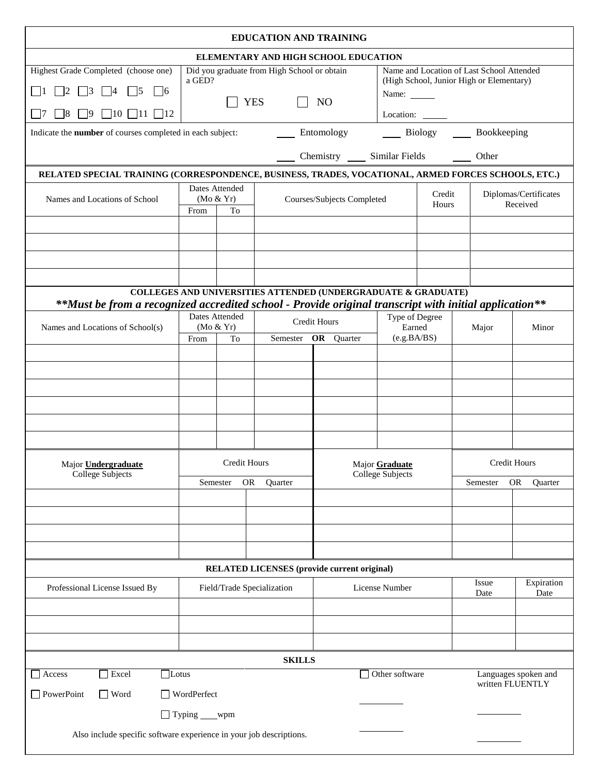| <b>EDUCATION AND TRAINING</b>                                                                                                                          |                                  |                                                           |                                                                                                                    |                            |                       |                                  |                     |                                   |  |
|--------------------------------------------------------------------------------------------------------------------------------------------------------|----------------------------------|-----------------------------------------------------------|--------------------------------------------------------------------------------------------------------------------|----------------------------|-----------------------|----------------------------------|---------------------|-----------------------------------|--|
| ELEMENTARY AND HIGH SCHOOL EDUCATION                                                                                                                   |                                  |                                                           |                                                                                                                    |                            |                       |                                  |                     |                                   |  |
| Highest Grade Completed (choose one)<br>$\Box$ 2 $\Box$ 3 $\Box$ 4<br>$\vert$ 5<br>$\vert$ 16<br>$\Box$ 8 $\Box$ 9 $\Box$ 10 $\Box$ 11 $\Box$ 12<br> 7 | a GED?                           | Did you graduate from High School or obtain<br><b>YES</b> | Name and Location of Last School Attended<br>(High School, Junior High or Elementary)<br>Name:<br>Location: ______ |                            |                       |                                  |                     |                                   |  |
| Indicate the number of courses completed in each subject:                                                                                              |                                  |                                                           |                                                                                                                    | Entomology                 |                       |                                  | Biology Bookkeeping |                                   |  |
|                                                                                                                                                        |                                  |                                                           |                                                                                                                    |                            |                       |                                  |                     |                                   |  |
| Chemistry ______ Similar Fields ________ Other                                                                                                         |                                  |                                                           |                                                                                                                    |                            |                       |                                  |                     |                                   |  |
| RELATED SPECIAL TRAINING (CORRESPONDENCE, BUSINESS, TRADES, VOCATIONAL, ARMED FORCES SCHOOLS, ETC.)<br>Dates Attended                                  |                                  |                                                           |                                                                                                                    |                            |                       |                                  |                     |                                   |  |
| Names and Locations of School                                                                                                                          | (Mo & Yr)<br>From<br>To          |                                                           |                                                                                                                    | Courses/Subjects Completed |                       | Credit<br>Hours                  |                     | Diplomas/Certificates<br>Received |  |
|                                                                                                                                                        |                                  |                                                           |                                                                                                                    |                            |                       |                                  |                     |                                   |  |
|                                                                                                                                                        |                                  |                                                           |                                                                                                                    |                            |                       |                                  |                     |                                   |  |
|                                                                                                                                                        |                                  |                                                           |                                                                                                                    |                            |                       |                                  |                     |                                   |  |
|                                                                                                                                                        |                                  |                                                           |                                                                                                                    |                            |                       |                                  |                     |                                   |  |
| **Must be from a recognized accredited school - Provide original transcript with initial application**                                                 |                                  |                                                           | COLLEGES AND UNIVERSITIES ATTENDED (UNDERGRADUATE & GRADUATE)                                                      |                            |                       |                                  |                     |                                   |  |
| Names and Locations of School(s)                                                                                                                       | Dates Attended<br>(Mo & Yr)      |                                                           |                                                                                                                    | Credit Hours               |                       | Type of Degree                   | Major               | Minor                             |  |
|                                                                                                                                                        | From                             | To                                                        |                                                                                                                    | Semester OR Quarter        | Earned<br>(e.g.BA/BS) |                                  |                     |                                   |  |
|                                                                                                                                                        |                                  |                                                           |                                                                                                                    |                            |                       |                                  |                     |                                   |  |
|                                                                                                                                                        |                                  |                                                           |                                                                                                                    |                            |                       |                                  |                     |                                   |  |
|                                                                                                                                                        |                                  |                                                           |                                                                                                                    |                            |                       |                                  |                     |                                   |  |
|                                                                                                                                                        |                                  |                                                           |                                                                                                                    |                            |                       |                                  |                     |                                   |  |
|                                                                                                                                                        |                                  |                                                           |                                                                                                                    |                            |                       |                                  |                     |                                   |  |
|                                                                                                                                                        |                                  |                                                           |                                                                                                                    |                            |                       |                                  |                     |                                   |  |
| Major <b>Undergraduate</b>                                                                                                                             | Credit Hours                     |                                                           | Major Graduate<br><b>College Subjects</b>                                                                          |                            | <b>Credit Hours</b>   |                                  |                     |                                   |  |
| <b>College Subjects</b>                                                                                                                                | <b>OR</b><br>Semester<br>Quarter |                                                           |                                                                                                                    |                            |                       | <b>OR</b><br>Semester<br>Quarter |                     |                                   |  |
|                                                                                                                                                        |                                  |                                                           |                                                                                                                    |                            |                       |                                  |                     |                                   |  |
|                                                                                                                                                        |                                  |                                                           |                                                                                                                    |                            |                       |                                  |                     |                                   |  |
|                                                                                                                                                        |                                  |                                                           |                                                                                                                    |                            |                       |                                  |                     |                                   |  |
|                                                                                                                                                        |                                  |                                                           |                                                                                                                    |                            |                       |                                  |                     |                                   |  |
| <b>RELATED LICENSES</b> (provide current original)                                                                                                     |                                  |                                                           |                                                                                                                    |                            |                       |                                  |                     |                                   |  |
| Professional License Issued By                                                                                                                         | Field/Trade Specialization       |                                                           | License Number                                                                                                     |                            | Issue<br>Date         | Expiration<br>Date               |                     |                                   |  |
|                                                                                                                                                        |                                  |                                                           |                                                                                                                    |                            |                       |                                  |                     |                                   |  |
|                                                                                                                                                        |                                  |                                                           |                                                                                                                    |                            |                       |                                  |                     |                                   |  |
|                                                                                                                                                        |                                  |                                                           |                                                                                                                    |                            |                       |                                  |                     |                                   |  |
| <b>SKILLS</b>                                                                                                                                          |                                  |                                                           |                                                                                                                    |                            |                       |                                  |                     |                                   |  |
| $\Box$ Excel<br>$\Box$ Other software<br>$\Box$ Lotus<br>Languages spoken and<br>$\Box$ Access<br>written FLUENTLY                                     |                                  |                                                           |                                                                                                                    |                            |                       |                                  |                     |                                   |  |
| $\Box$ PowerPoint<br>$\Box$ Word<br>□ WordPerfect                                                                                                      |                                  |                                                           |                                                                                                                    |                            |                       |                                  |                     |                                   |  |
|                                                                                                                                                        | $\Box$ Typing ____wpm            |                                                           |                                                                                                                    |                            |                       |                                  |                     |                                   |  |
| Also include specific software experience in your job descriptions.                                                                                    |                                  |                                                           |                                                                                                                    |                            |                       |                                  |                     |                                   |  |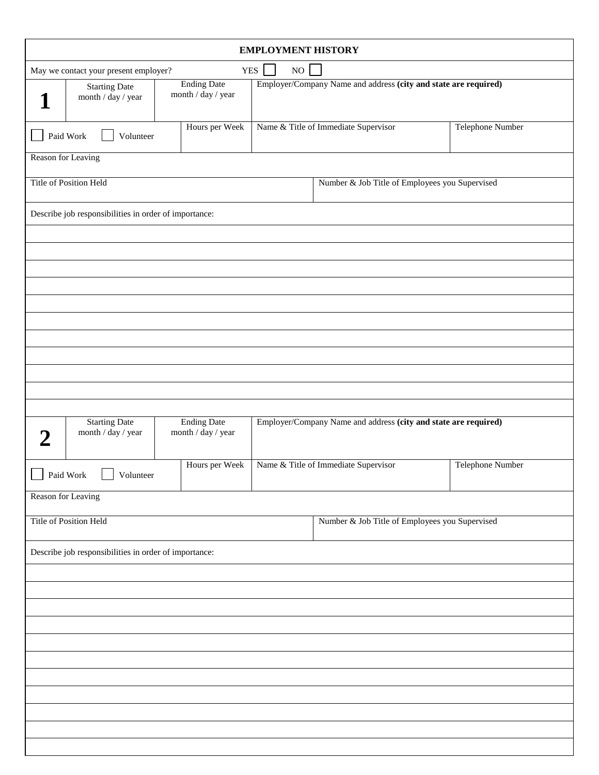| <b>EMPLOYMENT HISTORY</b>                                          |                                                       |                                          |  |                                                                 |                  |  |  |  |  |
|--------------------------------------------------------------------|-------------------------------------------------------|------------------------------------------|--|-----------------------------------------------------------------|------------------|--|--|--|--|
| <b>YES</b><br>$_{\rm NO}$<br>May we contact your present employer? |                                                       |                                          |  |                                                                 |                  |  |  |  |  |
|                                                                    | <b>Starting Date</b><br>month / day / year            | <b>Ending Date</b><br>month / day / year |  | Employer/Company Name and address (city and state are required) |                  |  |  |  |  |
|                                                                    | Paid Work<br>Volunteer                                | Hours per Week                           |  | Name & Title of Immediate Supervisor                            | Telephone Number |  |  |  |  |
|                                                                    | Reason for Leaving                                    |                                          |  |                                                                 |                  |  |  |  |  |
|                                                                    | Title of Position Held                                |                                          |  | Number & Job Title of Employees you Supervised                  |                  |  |  |  |  |
|                                                                    | Describe job responsibilities in order of importance: |                                          |  |                                                                 |                  |  |  |  |  |
|                                                                    |                                                       |                                          |  |                                                                 |                  |  |  |  |  |
|                                                                    |                                                       |                                          |  |                                                                 |                  |  |  |  |  |
|                                                                    |                                                       |                                          |  |                                                                 |                  |  |  |  |  |
|                                                                    |                                                       |                                          |  |                                                                 |                  |  |  |  |  |
|                                                                    |                                                       |                                          |  |                                                                 |                  |  |  |  |  |
|                                                                    |                                                       |                                          |  |                                                                 |                  |  |  |  |  |
|                                                                    |                                                       |                                          |  |                                                                 |                  |  |  |  |  |
|                                                                    |                                                       |                                          |  |                                                                 |                  |  |  |  |  |
|                                                                    |                                                       |                                          |  |                                                                 |                  |  |  |  |  |
|                                                                    |                                                       |                                          |  |                                                                 |                  |  |  |  |  |
|                                                                    | <b>Starting Date</b>                                  | <b>Ending Date</b>                       |  | Employer/Company Name and address (city and state are required) |                  |  |  |  |  |
|                                                                    | month / day / year                                    | month / day / year                       |  |                                                                 |                  |  |  |  |  |
| Paid Work                                                          | Volunteer<br>$\begin{array}{c} \hline \end{array}$    | Hours per Week                           |  | Name & Title of Immediate Supervisor                            | Telephone Number |  |  |  |  |
|                                                                    | Reason for Leaving                                    |                                          |  |                                                                 |                  |  |  |  |  |
|                                                                    | Title of Position Held                                |                                          |  | Number & Job Title of Employees you Supervised                  |                  |  |  |  |  |
| Describe job responsibilities in order of importance:              |                                                       |                                          |  |                                                                 |                  |  |  |  |  |
|                                                                    |                                                       |                                          |  |                                                                 |                  |  |  |  |  |
|                                                                    |                                                       |                                          |  |                                                                 |                  |  |  |  |  |
|                                                                    |                                                       |                                          |  |                                                                 |                  |  |  |  |  |
|                                                                    |                                                       |                                          |  |                                                                 |                  |  |  |  |  |
|                                                                    |                                                       |                                          |  |                                                                 |                  |  |  |  |  |
|                                                                    |                                                       |                                          |  |                                                                 |                  |  |  |  |  |
|                                                                    |                                                       |                                          |  |                                                                 |                  |  |  |  |  |
|                                                                    |                                                       |                                          |  |                                                                 |                  |  |  |  |  |
|                                                                    |                                                       |                                          |  |                                                                 |                  |  |  |  |  |
|                                                                    |                                                       |                                          |  |                                                                 |                  |  |  |  |  |
|                                                                    |                                                       |                                          |  |                                                                 |                  |  |  |  |  |